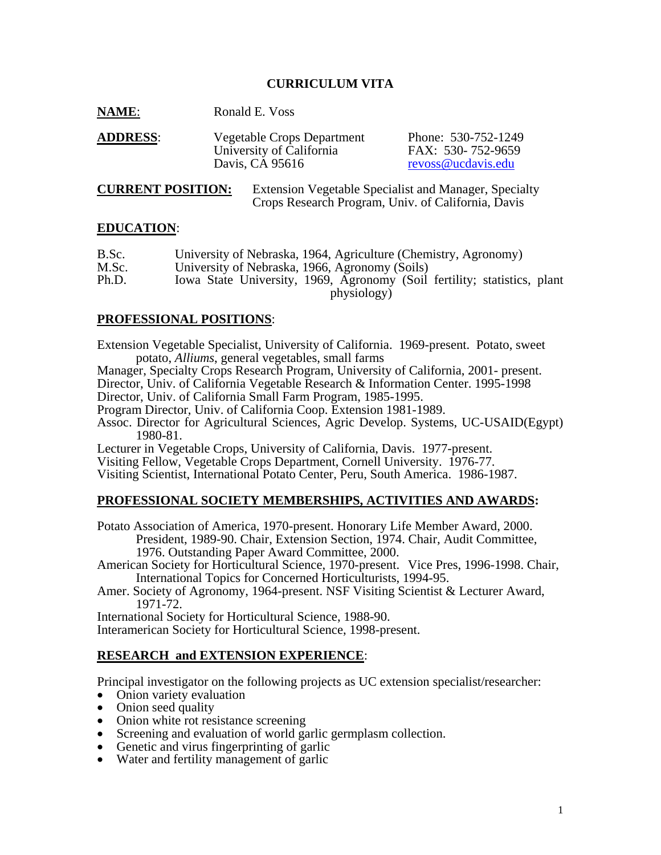# **CURRICULUM VITA**

| <b>NAME:</b> | Ronald E. Voss |
|--------------|----------------|
|--------------|----------------|

| <b>ADDRESS:</b> | Vegetable Crops Department | Phone: 530-752-1249 |
|-----------------|----------------------------|---------------------|
|                 | University of California   | FAX: 530-752-9659   |
|                 | Davis, CA 95616            | revoss@ucdavis.edu  |

**CURRENT POSITION:** Extension Vegetable Specialist and Manager, Specialty Crops Research Program, Univ. of California, Davis

#### **EDUCATION**:

| B.Sc. | University of Nebraska, 1964, Agriculture (Chemistry, Agronomy)          |
|-------|--------------------------------------------------------------------------|
| M.Sc. | University of Nebraska, 1966, Agronomy (Soils)                           |
| Ph.D. | Iowa State University, 1969, Agronomy (Soil fertility; statistics, plant |
|       | physiology)                                                              |

### **PROFESSIONAL POSITIONS**:

Extension Vegetable Specialist, University of California. 1969-present. Potato, sweet potato, *Alliums*, general vegetables, small farms

Manager, Specialty Crops Research Program, University of California, 2001- present. Director, Univ. of California Vegetable Research & Information Center. 1995-1998 Director, Univ. of California Small Farm Program, 1985-1995.

Program Director, Univ. of California Coop. Extension 1981-1989.

Assoc. Director for Agricultural Sciences, Agric Develop. Systems, UC-USAID(Egypt) 1980-81.

Lecturer in Vegetable Crops, University of California, Davis. 1977-present.

Visiting Fellow, Vegetable Crops Department, Cornell University. 1976-77.

Visiting Scientist, International Potato Center, Peru, South America. 1986-1987.

# **PROFESSIONAL SOCIETY MEMBERSHIPS, ACTIVITIES AND AWARDS:**

Potato Association of America, 1970-present. Honorary Life Member Award, 2000. President, 1989-90. Chair, Extension Section, 1974. Chair, Audit Committee, 1976. Outstanding Paper Award Committee, 2000.

American Society for Horticultural Science, 1970-present. Vice Pres, 1996-1998. Chair, International Topics for Concerned Horticulturists, 1994-95.

Amer. Society of Agronomy, 1964-present. NSF Visiting Scientist & Lecturer Award, 1971-72.

International Society for Horticultural Science, 1988-90.

Interamerican Society for Horticultural Science, 1998-present.

# **RESEARCH and EXTENSION EXPERIENCE**:

Principal investigator on the following projects as UC extension specialist/researcher:

- Onion variety evaluation
- Onion seed quality
- Onion white rot resistance screening
- Screening and evaluation of world garlic germplasm collection.
- Genetic and virus fingerprinting of garlic
- Water and fertility management of garlic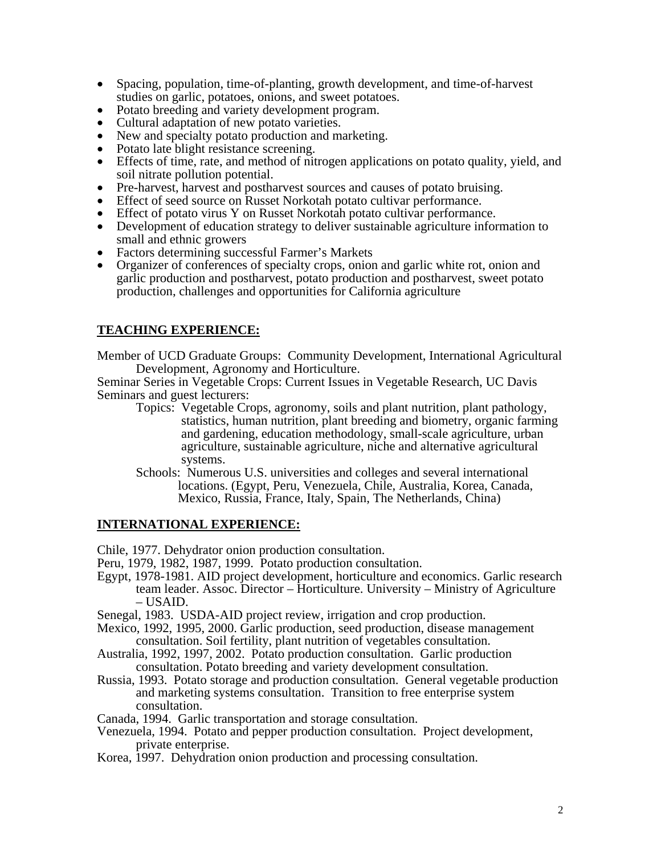- Spacing, population, time-of-planting, growth development, and time-of-harvest studies on garlic, potatoes, onions, and sweet potatoes.
- Potato breeding and variety development program.
- 
- 
- 
- Cultural adaptation of new potato varieties.<br>
 New and specialty potato production and marketing.<br>
 Potato late blight resistance screening.<br>
 Effects of time, rate, and method of nitrogen applications on potato quali Soil nitrate pollution potential.<br>
■ Pre-harvest, harvest and postharvest sources and causes of potato bruising.<br>
■ Effect of seed source on Russet Norkotah potato cultivar performance.<br>
■ Effect of potato virus Y on Russ
- 
- 
- 
- 
- 
- small and ethnic growers Factors determining successful Farmer's Markets Organizer of conferences of specialty crops, onion and garlic white rot, onion and garlic production and postharvest, potato production and postharvest, sweet potato production, challenges and opportunities for California agriculture

# **TEACHING EXPERIENCE:**

Member of UCD Graduate Groups: Community Development, International Agricultural Development, Agronomy and Horticulture.

Seminar Series in Vegetable Crops: Current Issues in Vegetable Research, UC Davis Seminars and guest lecturers:

- Topics: Vegetable Crops, agronomy, soils and plant nutrition, plant pathology, statistics, human nutrition, plant breeding and biometry, organic farming and gardening, education methodology, small-scale agriculture, urban agriculture, sustainable agriculture, niche and alternative agricultural systems.
- Schools: Numerous U.S. universities and colleges and several international locations. (Egypt, Peru, Venezuela, Chile, Australia, Korea, Canada, Mexico, Russia, France, Italy, Spain, The Netherlands, China)

### **INTERNATIONAL EXPERIENCE:**

Chile, 1977. Dehydrator onion production consultation.

- Peru, 1979, 1982, 1987, 1999. Potato production consultation.
- Egypt, 1978-1981. AID project development, horticulture and economics. Garlic research team leader. Assoc. Director – Horticulture. University – Ministry of Agriculture  $-$  USAID.
- Senegal, 1983. USDA-AID project review, irrigation and crop production.
- Mexico, 1992, 1995, 2000. Garlic production, seed production, disease management consultation. Soil fertility, plant nutrition of vegetables consultation.
- Australia, 1992, 1997, 2002. Potato production consultation. Garlic production consultation. Potato breeding and variety development consultation.
- Russia, 1993. Potato storage and production consultation. General vegetable production and marketing systems consultation. Transition to free enterprise system consultation.
- Canada, 1994. Garlic transportation and storage consultation.
- Venezuela, 1994. Potato and pepper production consultation. Project development, private enterprise.
- Korea, 1997. Dehydration onion production and processing consultation.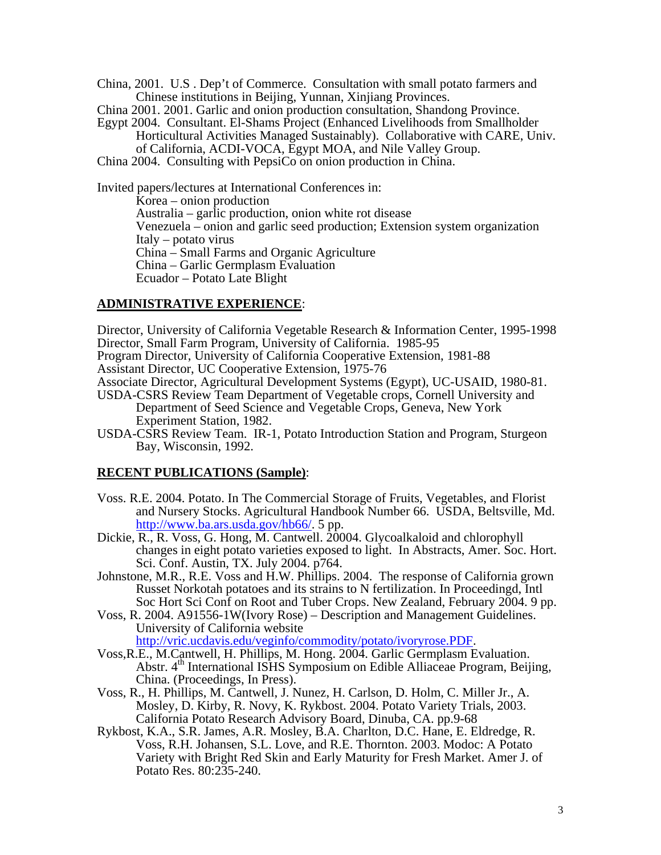China, 2001. U.S . Dep't of Commerce. Consultation with small potato farmers and Chinese institutions in Beijing, Yunnan, Xinjiang Provinces.

China 2001. 2001. Garlic and onion production consultation, Shandong Province.

Egypt 2004. Consultant. El-Shams Project (Enhanced Livelihoods from Smallholder

Horticultural Activities Managed Sustainably). Collaborative with CARE, Univ. of California, ACDI-VOCA, Egypt MOA, and Nile Valley Group.

China 2004. Consulting with PepsiCo on onion production in China.

Invited papers/lectures at International Conferences in: Korea – onion production Australia – garlic production, onion white rot disease Venezuela – onion and garlic seed production; Extension system organization Italy – potato virus China – Small Farms and Organic Agriculture China – Garlic Germplasm Evaluation Ecuador – Potato Late Blight

### **ADMINISTRATIVE EXPERIENCE**:

Director, University of California Vegetable Research & Information Center, 1995-1998 Director, Small Farm Program, University of California. 1985-95

Program Director, University of California Cooperative Extension, 1981-88 Assistant Director, UC Cooperative Extension, 1975-76

Associate Director, Agricultural Development Systems (Egypt), UC-USAID, 1980-81.

- USDA-CSRS Review Team Department of Vegetable crops, Cornell University and Department of Seed Science and Vegetable Crops, Geneva, New York Experiment Station, 1982.
- USDA-CSRS Review Team. IR-1, Potato Introduction Station and Program, Sturgeon Bay, Wisconsin, 1992.

#### **RECENT PUBLICATIONS (Sample)**:

- Voss. R.E. 2004. Potato. In The Commercial Storage of Fruits, Vegetables, and Florist and Nursery Stocks. Agricultural Handbook Number 66. USDA, Beltsville, Md. http://www.ba.ars.usda.gov/hb66/. 5 pp.
- Dickie, R., R. Voss, G. Hong, M. Cantwell. 20004. Glycoalkaloid and chlorophyll changes in eight potato varieties exposed to light. In Abstracts, Amer. Soc. Hort. Sci. Conf. Austin, TX. July 2004. p764.
- Johnstone, M.R., R.E. Voss and H.W. Phillips. 2004. The response of California grown Russet Norkotah potatoes and its strains to N fertilization. In Proceedingd, Intl Soc Hort Sci Conf on Root and Tuber Crops. New Zealand, February 2004. 9 pp.
- Voss, R. 2004. A91556-1W(Ivory Rose) Description and Management Guidelines. University of California website

http://vric.ucdavis.edu/veginfo/commodity/potato/ivoryrose.PDF.

- Voss,R.E., M.Cantwell, H. Phillips, M. Hong. 2004. Garlic Germplasm Evaluation. Abstr. 4<sup>th</sup> International ISHS Symposium on Edible Alliaceae Program, Beijing, China. (Proceedings, In Press).
- Voss, R., H. Phillips, M. Cantwell, J. Nunez, H. Carlson, D. Holm, C. Miller Jr., A. Mosley, D. Kirby, R. Novy, K. Rykbost. 2004. Potato Variety Trials, 2003. California Potato Research Advisory Board, Dinuba, CA. pp.9-68
- Rykbost, K.A., S.R. James, A.R. Mosley, B.A. Charlton, D.C. Hane, E. Eldredge, R. Voss, R.H. Johansen, S.L. Love, and R.E. Thornton. 2003. Modoc: A Potato Variety with Bright Red Skin and Early Maturity for Fresh Market. Amer J. of Potato Res. 80:235-240.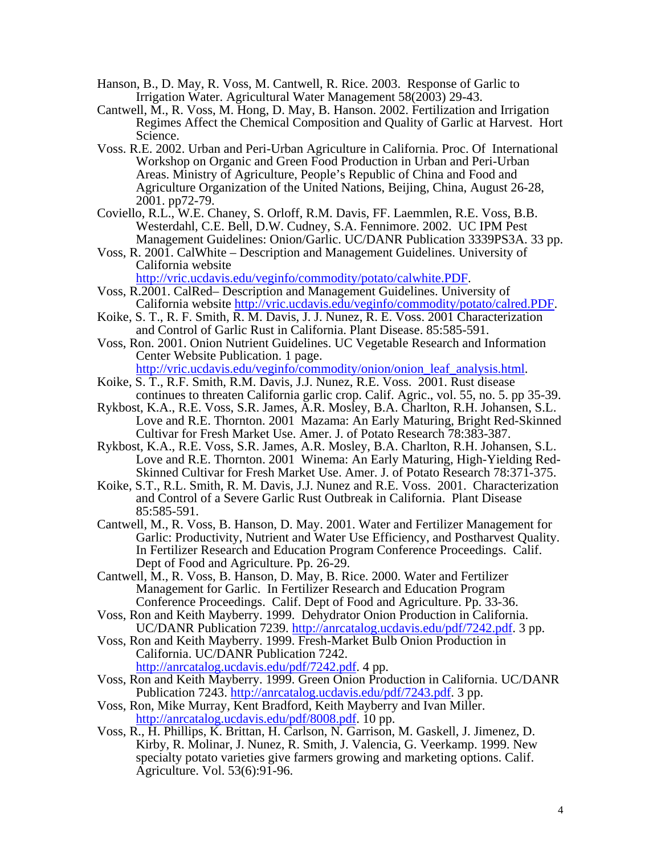- Hanson, B., D. May, R. Voss, M. Cantwell, R. Rice. 2003. Response of Garlic to Irrigation Water. Agricultural Water Management 58(2003) 29-43.
- Cantwell, M., R. Voss, M. Hong, D. May, B. Hanson. 2002. Fertilization and Irrigation Regimes Affect the Chemical Composition and Quality of Garlic at Harvest. Hort Science.
- Voss. R.E. 2002. Urban and Peri-Urban Agriculture in California. Proc. Of International Workshop on Organic and Green Food Production in Urban and Peri-Urban Areas. Ministry of Agriculture, People's Republic of China and Food and Agriculture Organization of the United Nations, Beijing, China, August 26-28, 2001. pp72-79.
- Coviello, R.L., W.E. Chaney, S. Orloff, R.M. Davis, FF. Laemmlen, R.E. Voss, B.B. Westerdahl, C.E. Bell, D.W. Cudney, S.A. Fennimore. 2002. UC IPM Pest Management Guidelines: Onion/Garlic. UC/DANR Publication 3339PS3A. 33 pp.
- Voss, R. 2001. CalWhite Description and Management Guidelines. University of California website

http://vric.ucdavis.edu/veginfo/commodity/potato/calwhite.PDF.<br>Voss, R.2001. CalRed– Description and Management Guidelines. University of

- California website http://vric.ucdavis.edu/veginfo/commodity/potato/calred.PDF.<br>Koike, S. T., R. F. Smith, R. M. Davis, J. J. Nunez, R. E. Voss. 2001 Characterization
- and Control of Garlic Rust in California. Plant Disease. 85:585-591.
- Voss, Ron. 2001. Onion Nutrient Guidelines. UC Vegetable Research and Information Center Website Publication. 1 page.
- http://vric.ucdavis.edu/veginfo/commodity/onion/onion\_leaf\_analysis.html. Koike, S. T., R.F. Smith, R.M. Davis, J.J. Nunez, R.E. Voss. 2001. Rust disease
- continues to threaten California garlic crop. Calif. Agric., vol. 55, no. 5. pp 35-39. Rykbost, K.A., R.E. Voss, S.R. James, A.R. Mosley, B.A. Charlton, R.H. Johansen, S.L.
- Love and R.E. Thornton. 2001 Mazama: An Early Maturing, Bright Red-Skinned Cultivar for Fresh Market Use. Amer. J. of Potato Research 78:383-387.
- Rykbost, K.A., R.E. Voss, S.R. James, A.R. Mosley, B.A. Charlton, R.H. Johansen, S.L. Love and R.E. Thornton. 2001 Winema: An Early Maturing, High-Yielding Red-Skinned Cultivar for Fresh Market Use. Amer. J. of Potato Research 78:371-375.
- Koike, S.T., R.L. Smith, R. M. Davis, J.J. Nunez and R.E. Voss. 2001. Characterization and Control of a Severe Garlic Rust Outbreak in California. Plant Disease 85:585-591.
- Cantwell, M., R. Voss, B. Hanson, D. May. 2001. Water and Fertilizer Management for Garlic: Productivity, Nutrient and Water Use Efficiency, and Postharvest Quality. In Fertilizer Research and Education Program Conference Proceedings. Calif. Dept of Food and Agriculture. Pp. 26-29.
- Cantwell, M., R. Voss, B. Hanson, D. May, B. Rice. 2000. Water and Fertilizer Management for Garlic. In Fertilizer Research and Education Program Conference Proceedings. Calif. Dept of Food and Agriculture. Pp. 33-36.
- Voss, Ron and Keith Mayberry. 1999. Dehydrator Onion Production in California. UC/DANR Publication 7239. http://anrcatalog.ucdavis.edu/pdf/7242.pdf. 3 pp.
- Voss, Ron and Keith Mayberry. 1999. Fresh-Market Bulb Onion Production in California. UC/DANR Publication 7242. http://anrcatalog.ucdavis.edu/pdf/7242.pdf. 4 pp.
- Voss, Ron and Keith Mayberry. 1999. Green Onion Production in California. UC/DANR Publication 7243. http://anrcatalog.ucdavis.edu/pdf/7243.pdf. 3 pp.
- Voss, Ron, Mike Murray, Kent Bradford, Keith Mayberry and Ivan Miller. http://anrcatalog.ucdavis.edu/pdf/8008.pdf. 10 pp.
- Voss, R., H. Phillips, K. Brittan, H. Carlson, N. Garrison, M. Gaskell, J. Jimenez, D. Kirby, R. Molinar, J. Nunez, R. Smith, J. Valencia, G. Veerkamp. 1999. New specialty potato varieties give farmers growing and marketing options. Calif. Agriculture. Vol. 53(6):91-96.